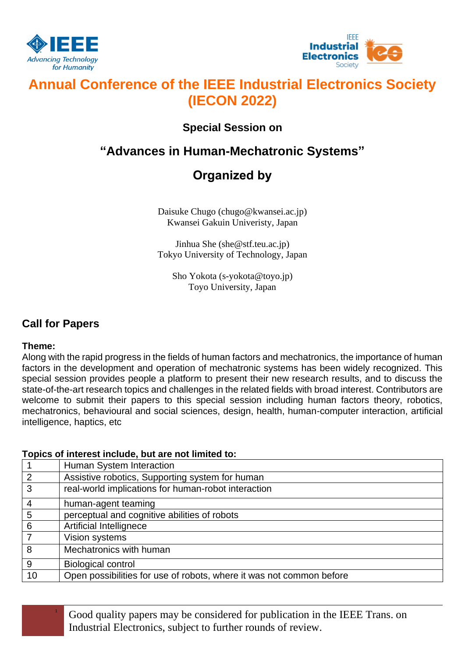



# **Annual Conference of the IEEE Industrial Electronics Society (IECON 2022)**

## **Special Session on**

## **"Advances in Human-Mechatronic Systems"**

## **Organized by**

Daisuke Chugo (chugo@kwansei.ac.jp) Kwansei Gakuin Univeristy, Japan

Jinhua She (she@stf.teu.ac.jp) Tokyo University of Technology, Japan

Sho Yokota (s-yokota@toyo.jp) Toyo University, Japan

## **Call for Papers**

### **Theme:**

Along with the rapid progress in the fields of human factors and mechatronics, the importance of human factors in the development and operation of mechatronic systems has been widely recognized. This special session provides people a platform to present their new research results, and to discuss the state-of-the-art research topics and challenges in the related fields with broad interest. Contributors are welcome to submit their papers to this special session including human factors theory, robotics, mechatronics, behavioural and social sciences, design, health, human-computer interaction, artificial intelligence, haptics, etc

### **Topics of interest include, but are not limited to:**

|    | Human System Interaction                                             |
|----|----------------------------------------------------------------------|
| 2  | Assistive robotics, Supporting system for human                      |
| 3  | real-world implications for human-robot interaction                  |
| 4  | human-agent teaming                                                  |
| 5  | perceptual and cognitive abilities of robots                         |
| 6  | Artificial Intellignece                                              |
|    | Vision systems                                                       |
| 8  | Mechatronics with human                                              |
| 9  | <b>Biological control</b>                                            |
| 10 | Open possibilities for use of robots, where it was not common before |

<sup>1</sup> Good quality papers may be considered for publication in the IEEE Trans. on Industrial Electronics, subject to further rounds of review.